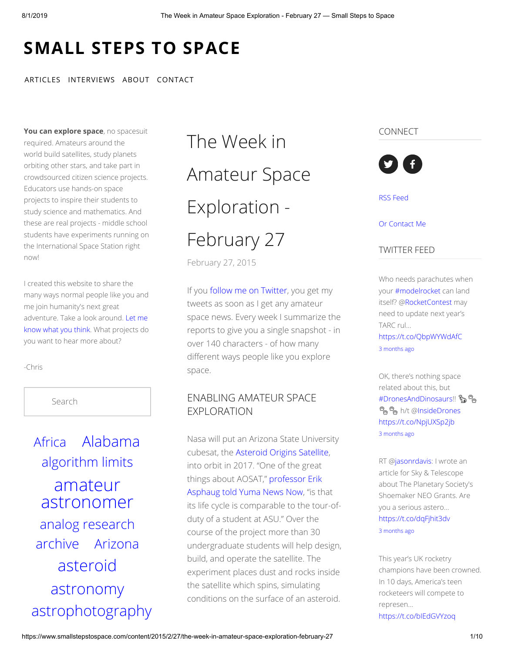# **[SMALL](https://www.smallstepstospace.com/) STEPS TO SPACE**

#### [ARTICLES](https://www.smallstepstospace.com/articles) [INTERVIEWS](https://www.smallstepstospace.com/interviews) [ABOUT](https://www.smallstepstospace.com/about) [CONTACT](https://www.smallstepstospace.com/contact)

**You can explore space**, no spacesuit required. Amateurs around the world build satellites, study planets orbiting other stars, and take part in crowdsourced citizen science projects. Educators use hands-on space projects to inspire their students to study science and mathematics. And these are real projects - middle school students have experiments running on the International Space Station right now!

I created this website to share the many ways normal people like you and me join humanity's next great [adventure.](https://chris-casper.squarespace.com/contact) Take a look around. Let me know what you think. What projects do you want to hear more about?

-Chris

Search

[Africa](https://www.smallstepstospace.com/content/tag/Africa) [Alabama](https://www.smallstepstospace.com/content/tag/Alabama) [algorithm](https://www.smallstepstospace.com/content/tag/algorithm+limits) limits amateur [astronomer](https://www.smallstepstospace.com/content/tag/amateur+astronomer) [analog research](https://www.smallstepstospace.com/content/tag/analog+research) [archive](https://www.smallstepstospace.com/content/tag/archive) [Arizona](https://www.smallstepstospace.com/content/tag/Arizona) [asteroid](https://www.smallstepstospace.com/content/tag/asteroid) [astronomy](https://www.smallstepstospace.com/content/tag/astronomy) [astrophotography](https://www.smallstepstospace.com/content/tag/astrophotography)

# The Week in [Amateur Space](https://www.smallstepstospace.com/content/2015/2/27/the-week-in-amateur-space-exploration-february-27) Exploration - February 27

[February 27, 2015](https://www.smallstepstospace.com/content/2015/2/27/the-week-in-amateur-space-exploration-february-27)

If you [follow me on Twitter](http://twitter.com/spacecasper), you get my tweets as soon as I get any amateur space news. Every week I summarize the reports to give you a single snapshot - in over 140 characters - of how many different ways people like you explore space.

## ENABLING AMATEUR SPACE EXPLORATION

Nasa will put an Arizona State University cubesat, the [Asteroid Origins Satellite,](https://asunews.asu.edu/20140422-asteroid-origins-satellite) into orbit in 2017. "One of the great [things about AOSAT," professor Erik](http://www.yumanewsnow.com/index.php/news/arizona/9810-asu-students-assist-in-launching-nanosatellite-into-space) Asphaug told Yuma News Now, "is that its life cycle is comparable to the tour-ofduty of a student at ASU." Over the course of the project more than 30 undergraduate students will help design, build, and operate the satellite. The experiment places dust and rocks inside the satellite which spins, simulating conditions on the surface of an asteroid.

#### CONNECT



RSS [Feed](http://www.smallstepstospace.com/content/?format=rss)

#### Or [Contact](http://www.smallstepstospace.com/contact/) Me

#### TWITTER FEED

Who needs parachutes when your [#modelrocket](https://twitter.com/#!/search?q=%23modelrocket) can land itself? @[RocketContest](https://twitter.com/RocketContest) may need to update next year's TARC rul… <https://t.co/QbpWYWdAfC> 3 [months](https://twitter.com/spacecasper/status/1126685902472863744) ago

OK, there's nothing space related about this, but [#DronesAndDinosaurs!](https://twitter.com/#!/search?q=%23DronesAndDinosaurs)! <sup>ස</sup>දු <sup>ස</sup>දු h/t [@InsideDrones](https://twitter.com/InsideDrones) <https://t.co/NpjUXSp2jb> 3 [months](https://twitter.com/spacecasper/status/1126538823326789633) ago

RT [@jasonrdavis](https://twitter.com/jasonrdavis): I wrote an article for Sky & Telescope about The Planetary Society's Shoemaker NEO Grants. Are you a serious astero… <https://t.co/dqFjhit3dv> 3 [months](https://twitter.com/spacecasper/status/1126531350196940800) ago

This year's UK rocketry champions have been crowned. In 10 days, America's teen rocketeers will compete to represen…

<https://t.co/bIEdGVYzoq>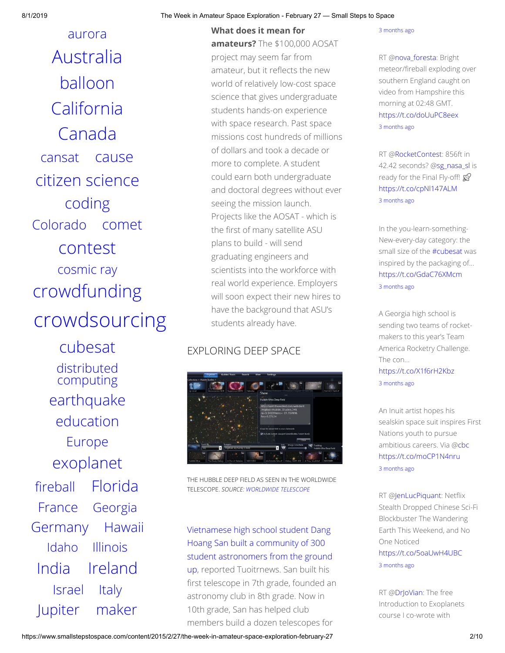[aurora](https://www.smallstepstospace.com/content/tag/aurora) [Australia](https://www.smallstepstospace.com/content/tag/Australia) [balloon](https://www.smallstepstospace.com/content/tag/balloon) [California](https://www.smallstepstospace.com/content/tag/California) [Canada](https://www.smallstepstospace.com/content/tag/Canada) [cansat](https://www.smallstepstospace.com/content/tag/cansat) [cause](https://www.smallstepstospace.com/content/tag/cause) citizen [science](https://www.smallstepstospace.com/content/tag/citizen+science) [coding](https://www.smallstepstospace.com/content/tag/coding) [Colorado](https://www.smallstepstospace.com/content/tag/Colorado) [comet](https://www.smallstepstospace.com/content/tag/comet) [contest](https://www.smallstepstospace.com/content/tag/contest) [cosmic](https://www.smallstepstospace.com/content/tag/cosmic+ray) ray [crowdfunding](https://www.smallstepstospace.com/content/tag/crowdfunding) [crowdsourcing](https://www.smallstepstospace.com/content/tag/crowdsourcing)

[cubesat](https://www.smallstepstospace.com/content/tag/cubesat) [distributed](https://www.smallstepstospace.com/content/tag/distributed+computing) computing [earthquake](https://www.smallstepstospace.com/content/tag/earthquake) [education](https://www.smallstepstospace.com/content/tag/education) [Europe](https://www.smallstepstospace.com/content/tag/Europe) [exoplanet](https://www.smallstepstospace.com/content/tag/exoplanet) fi[reball](https://www.smallstepstospace.com/content/tag/fireball) [Florida](https://www.smallstepstospace.com/content/tag/Florida) [France](https://www.smallstepstospace.com/content/tag/France) [Georgia](https://www.smallstepstospace.com/content/tag/Georgia) [Germany](https://www.smallstepstospace.com/content/tag/Germany) [Hawaii](https://www.smallstepstospace.com/content/tag/Hawaii) [Idaho](https://www.smallstepstospace.com/content/tag/Idaho) [Illinois](https://www.smallstepstospace.com/content/tag/Illinois) [India](https://www.smallstepstospace.com/content/tag/India) [Ireland](https://www.smallstepstospace.com/content/tag/Ireland) [Israel](https://www.smallstepstospace.com/content/tag/Israel) [Italy](https://www.smallstepstospace.com/content/tag/Italy) [Jupiter](https://www.smallstepstospace.com/content/tag/Jupiter) [maker](https://www.smallstepstospace.com/content/tag/maker)

#### 8/1/2019 The Week in Amateur Space Exploration - February 27 — Small Steps to Space

**What does it mean for amateurs?** The \$100,000 AOSAT project may seem far from amateur, but it reflects the new world of relatively low-cost space science that gives undergraduate students hands-on experience with space research. Past space missions cost hundreds of millions of dollars and took a decade or more to complete. A student could earn both undergraduate and doctoral degrees without ever seeing the mission launch. Projects like the AOSAT - which is the first of many satellite ASU plans to build - will send graduating engineers and scientists into the workforce with real world experience. Employers will soon expect their new hires to have the background that ASU's students already have.

## EXPLORING DEEP SPACE



THE HUBBLE DEEP FIELD AS SEEN IN THE WORLDWIDE TELESCOPE. *SOURCE: [WORLDWIDE TELESCOPE](http://www.worldwidetelescope.org/)*

Vietnamese high school student Dang Hoang San built a community of 300 [student astronomers from the ground](http://tuoitrenews.vn/education/26121/meeting-a-vietnam-high-school-student-who-craves-astronomy) up, reported Tuoitrnews. San built his first telescope in 7th grade, founded an astronomy club in 8th grade. Now in 10th grade, San has helped club members build a dozen telescopes for

#### 3 [months](https://twitter.com/spacecasper/status/1126129215034683393) ago

RT [@nova\\_foresta](https://twitter.com/nova_foresta): Bright meteor/fireball exploding over southern England caught on video from Hampshire this morning at 02:48 GMT. <https://t.co/doUuPC8eex> 3 [months](https://twitter.com/spacecasper/status/1126126802831757312) ago

RT [@RocketContest:](https://twitter.com/RocketContest) 856ft in 42.42 seconds? @[sg\\_nasa\\_sl](https://twitter.com/sg_nasa_sl) is ready for the Final Fly-off!  $\mathcal{D}$ <https://t.co/cpNl147ALM> 3 [months](https://twitter.com/spacecasper/status/1125887525011066880) ago

In the you-learn-something-New-every-day category: the small size of the [#cubesat](https://twitter.com/#!/search?q=%23cubesat) was inspired by the packaging of… <https://t.co/GdaC76XMcm> 3 [months](https://twitter.com/spacecasper/status/1125835945796718592) ago

A Georgia high school is sending two teams of rocketmakers to this year's Team America Rocketry Challenge. The con…

<https://t.co/X1f6rH2Kbz> 3 [months](https://twitter.com/spacecasper/status/1125818577557188608) ago

An Inuit artist hopes his sealskin space suit inspires First Nations youth to pursue ambitious careers. Via [@cbc](https://twitter.com/cbc) <https://t.co/moCP1N4nru> 3 [months](https://twitter.com/spacecasper/status/1125801716480266241) ago

RT [@JenLucPiquant](https://twitter.com/JenLucPiquant): Netflix Stealth Dropped Chinese Sci-Fi Blockbuster The Wandering Earth This Weekend, and No One Noticed <https://t.co/5oaUwH4UBC> 3 [months](https://twitter.com/spacecasper/status/1125795450630492160) ago

RT [@DrJoVian:](https://twitter.com/DrJoVian) The free Introduction to Exoplanets course I co-wrote with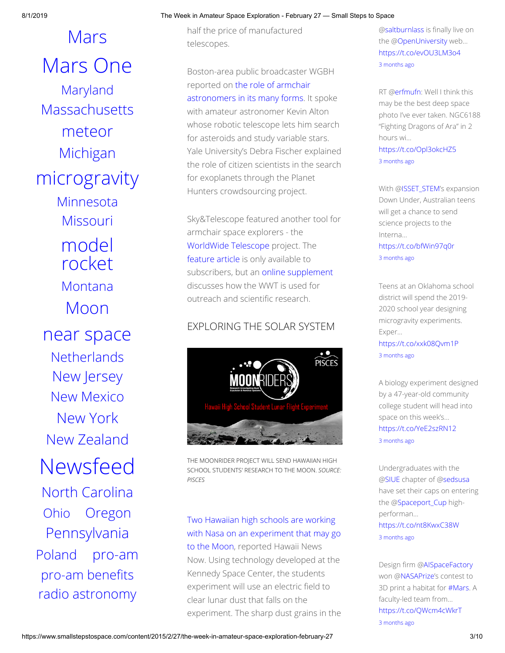[Mars](https://www.smallstepstospace.com/content/tag/Mars) [Mars](https://www.smallstepstospace.com/content/tag/Mars+One) One [Maryland](https://www.smallstepstospace.com/content/tag/Maryland) **[Massachusetts](https://www.smallstepstospace.com/content/tag/Massachusetts)** [meteor](https://www.smallstepstospace.com/content/tag/meteor) [Michigan](https://www.smallstepstospace.com/content/tag/Michigan) [microgravity](https://www.smallstepstospace.com/content/tag/microgravity) [Minnesota](https://www.smallstepstospace.com/content/tag/Minnesota) [Missouri](https://www.smallstepstospace.com/content/tag/Missouri) [model](https://www.smallstepstospace.com/content/tag/model+rocket) rocket [Montana](https://www.smallstepstospace.com/content/tag/Montana) [Moon](https://www.smallstepstospace.com/content/tag/Moon) [near space](https://www.smallstepstospace.com/content/tag/near+space) **[Netherlands](https://www.smallstepstospace.com/content/tag/Netherlands)** New [Jersey](https://www.smallstepstospace.com/content/tag/New+Jersey) New [Mexico](https://www.smallstepstospace.com/content/tag/New+Mexico) [New](https://www.smallstepstospace.com/content/tag/New+York) York New [Zealand](https://www.smallstepstospace.com/content/tag/New+Zealand) [Newsfeed](https://www.smallstepstospace.com/content/tag/Newsfeed) North [Carolina](https://www.smallstepstospace.com/content/tag/North+Carolina) [Ohio](https://www.smallstepstospace.com/content/tag/Ohio) [Oregon](https://www.smallstepstospace.com/content/tag/Oregon) [Pennsylvania](https://www.smallstepstospace.com/content/tag/Pennsylvania) [Poland](https://www.smallstepstospace.com/content/tag/Poland) [pro-am](https://www.smallstepstospace.com/content/tag/pro-am) pro-am benefits [radio astronomy](https://www.smallstepstospace.com/content/tag/radio+astronomy)

#### 8/1/2019 The Week in Amateur Space Exploration - February 27 — Small Steps to Space

half the price of manufactured telescopes.

Boston-area public broadcaster WGBH reported on the role of armchair [astronomers in its many forms. It](http://www.newsworks.org/index.php/local/the-pulse/78507-working-from-their-couches-amateur-astronomers-make-real-scientific-contributions) spoke with amateur astronomer Kevin Alton whose robotic telescope lets him search for asteroids and study variable stars. Yale University's Debra Fischer explained the role of citizen scientists in the search for exoplanets through the Planet Hunters crowdsourcing project.

Sky&Telescope featured another tool for armchair space explorers - the [WorldWide Telescope](http://www.worldwidetelescope.org/) project. The [feature article](http://www.skyandtelescope.com/sky-and-telescope-magazine/inside-april-2015-issue/) is only available to subscribers, but an [online supplement](http://www.skyandtelescope.com/sky-and-telescope-magazine/beyond-the-printed-page/use-world-wide-telescope/) discusses how the WWT is used for outreach and scientific research.

## EXPLORING THE SOLAR SYSTEM



THE MOONRIDER PROJECT WILL SEND HAWAIIAN HIGH SCHOOL STUDENTS' RESEARCH TO THE MOON. *SOURCE: PISCES*

Two Hawaiian high schools are working [with Nasa on an experiment that may go](http://www.hawaiinewsnow.com/story/28164226/two-hawaii-schools-selected-for-lunar-project-with-nasa) to the Moon, reported Hawaii News Now. Using technology developed at the Kennedy Space Center, the students experiment will use an electric field to clear lunar dust that falls on the experiment. The sharp dust grains in the [@saltburnlass](https://twitter.com/saltburnlass) is finally live on the [@OpenUniversity](https://twitter.com/OpenUniversity) web… <https://t.co/evOU3LM3o4> 3 [months](https://twitter.com/spacecasper/status/1125792609287335936) ago

RT [@erfmufn:](https://twitter.com/erfmufn) Well I think this may be the best deep space photo I've ever taken. NGC6188 "Fighting Dragons of Ara" in 2 hours wi…

<https://t.co/Opl3okcHZ5> 3 [months](https://twitter.com/spacecasper/status/1125772549537685505) ago

With [@ISSET\\_STEM](https://twitter.com/ISSET_STEM)'s expansion Down Under, Australian teens will get a chance to send science projects to the Interna… <https://t.co/bfWin97q0r>

3 [months](https://twitter.com/spacecasper/status/1125528919640346629) ago

Teens at an Oklahoma school district will spend the 2019- 2020 school year designing microgravity experiments. Exper… <https://t.co/xxk08Qvm1P>

3 [months](https://twitter.com/spacecasper/status/1125479845943762944) ago

A biology experiment designed by a 47-year-old community college student will head into space on this week's… <https://t.co/YeE2szRN12> 3 [months](https://twitter.com/spacecasper/status/1125463991793352704) ago

Undergraduates with the [@SIUE](https://twitter.com/SIUE) chapter of @[sedsusa](https://twitter.com/sedsusa) have set their caps on entering the [@Spaceport\\_Cup](https://twitter.com/Spaceport_Cup) highperforman… <https://t.co/nt8KwxC38W> 3 [months](https://twitter.com/spacecasper/status/1125447885401796609) ago

Design firm [@AISpaceFactory](https://twitter.com/AISpaceFactory) won @[NASAPrize'](https://twitter.com/NASAPrize)s contest to 3D print a habitat for [#Mars.](https://twitter.com/#!/search?q=%23Mars) A faculty-led team from… <https://t.co/QWcm4cWkrT> 3 [months](https://twitter.com/spacecasper/status/1125443858316140544) ago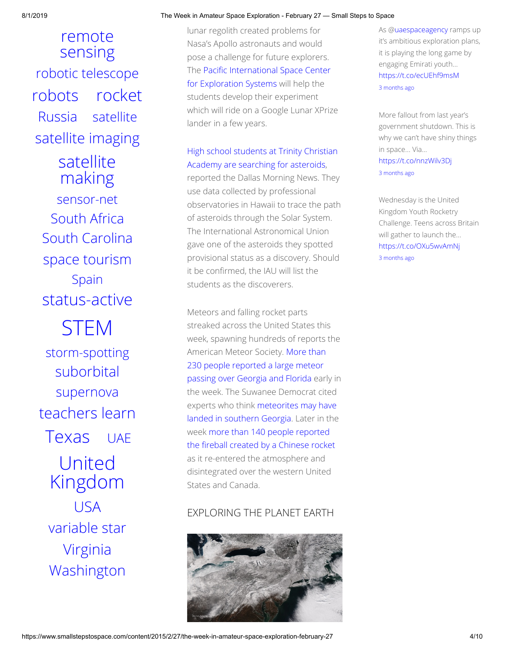remote [sensing](https://www.smallstepstospace.com/content/tag/remote+sensing) [robotic telescope](https://www.smallstepstospace.com/content/tag/robotic+telescope) [robots](https://www.smallstepstospace.com/content/tag/robots) [rocket](https://www.smallstepstospace.com/content/tag/rocket) [Russia](https://www.smallstepstospace.com/content/tag/Russia) [satellite](https://www.smallstepstospace.com/content/tag/satellite) satellite [imaging](https://www.smallstepstospace.com/content/tag/satellite+imaging) [satellite](https://www.smallstepstospace.com/content/tag/satellite+making) making [sensor-net](https://www.smallstepstospace.com/content/tag/sensor-net) [South](https://www.smallstepstospace.com/content/tag/South+Africa) Africa South [Carolina](https://www.smallstepstospace.com/content/tag/South+Carolina) space [tourism](https://www.smallstepstospace.com/content/tag/space+tourism) [Spain](https://www.smallstepstospace.com/content/tag/Spain) [status-active](https://www.smallstepstospace.com/content/tag/status-active) [STEM](https://www.smallstepstospace.com/content/tag/STEM) [storm-spotting](https://www.smallstepstospace.com/content/tag/storm-spotting) [suborbital](https://www.smallstepstospace.com/content/tag/suborbital) [supernova](https://www.smallstepstospace.com/content/tag/supernova) [teachers](https://www.smallstepstospace.com/content/tag/teachers+learn) learn [Texas](https://www.smallstepstospace.com/content/tag/Texas) [UAE](https://www.smallstepstospace.com/content/tag/UAE) United [Kingdom](https://www.smallstepstospace.com/content/tag/United+Kingdom) [USA](https://www.smallstepstospace.com/content/tag/USA) [variable](https://www.smallstepstospace.com/content/tag/variable+star) star [Virginia](https://www.smallstepstospace.com/content/tag/Virginia) [Washington](https://www.smallstepstospace.com/content/tag/Washington)

#### 8/1/2019 The Week in Amateur Space Exploration - February 27 — Small Steps to Space

lunar regolith created problems for Nasa's Apollo astronauts and would pose a challenge for future explorers. The Pacific International Space Center for Exploration Systems will help the students develop their experiment which will ride on a Google Lunar XPrize lander in a few years.

## [High school students at Trinity Christian](http://www.dallasnews.com/news/community-news/park-cities/headlines/20150226-tca-astronomy-students-use-software-to-chase-asteroids-wonder-what-exactly-is-out-there.ece) Academy are searching for asteroids,

reported the Dallas Morning News. They use data collected by professional observatories in Hawaii to trace the path of asteroids through the Solar System. The International Astronomical Union gave one of the asteroids they spotted provisional status as a discovery. Should it be confirmed, the IAU will list the students as the discoverers.

Meteors and falling rocket parts streaked across the United States this week, spawning hundreds of reports the American Meteor Society. More than 230 people reported a large meteor [passing over Georgia and Florida earl](http://www.amsmeteors.org/2015/02/florida-fireball-with-boom/)y in the week. The Suwanee Democrat cited [experts who think meteorites may have](http://www.suwanneedemocrat.com/news/meteor-may-have-landed-in-georgia-meteor-society-states/article_6dad7b8e-bc33-11e4-a36c-3bacc7b46829.html) landed in southern Georgia. Later in the week more than 140 people reported the fireball created by a Chinese rocket as it re-entered the atmosphere and disintegrated over the western United States and Canada.

## EXPLORING THE PLANET EARTH



As [@uaespaceagency](https://twitter.com/uaespaceagency) ramps up it's ambitious exploration plans, it is playing the long game by engaging Emirati youth… <https://t.co/ecUEhf9msM> 3 [months](https://twitter.com/spacecasper/status/1125436560898502656) ago

More fallout from last year's government shutdown. This is why we can't have shiny things in space... Via… <https://t.co/nnzWilv3Dj> 3 [months](https://twitter.com/spacecasper/status/1125431528085962752) ago

Wednesday is the United Kingdom Youth Rocketry Challenge. Teens across Britain will gather to launch the… <https://t.co/OXu5wvAmNj> 3 [months](https://twitter.com/spacecasper/status/1125424877459070976) ago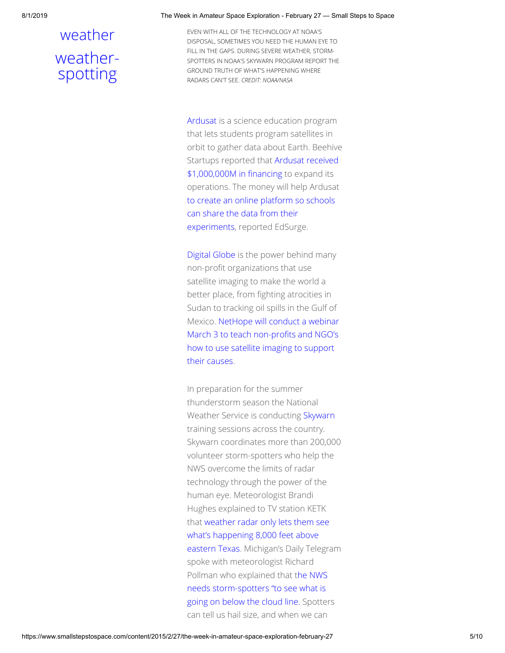## [weather](https://www.smallstepstospace.com/content/tag/weather) [weather](https://www.smallstepstospace.com/content/tag/weather-spotting)spotting

8/1/2019 The Week in Amateur Space Exploration - February 27 — Small Steps to Space

EVEN WITH ALL OF THE TECHNOLOGY AT NOAA'S DISPOSAL, SOMETIMES YOU NEED THE HUMAN EYE TO FILL IN THE GAPS. DURING SEVERE WEATHER, STORM-SPOTTERS IN NOAA'S SKYWARN PROGRAM REPORT THE GROUND TRUTH OF WHAT'S HAPPENING WHERE RADARS CAN'T SEE. *CREDIT: NOAA/NASA*

[Ardusat](https://www.ardusat.com/) is a science education program that lets students program satellites in orbit to gather data about Earth. Beehive [Startups reported that Ardusat received](http://beehivestartups.com/blog/ardusat-secures-1m-seed-funding/) \$1,000,000M in financing to expand its operations. The money will help Ardusat [to create an online platform so schools](https://www.edsurge.com/n/2015-02-25-ardusat-raises-1m-to-bring-outer-space-to-the-classroom) can share the data from their experiments, reported EdSurge.

[Digital Globe](https://www.digitalglobe.com/) is the power behind many non-profit organizations that use satellite imaging to make the world a better place, from fighting atrocities in Sudan to tracking oil spills in the Gulf of [Mexico. NetHope will conduct a webinar](http://solutionscenter.nethope.org/webinars/view/digitalglobe-on-their-seeing-a-better-world-program) March 3 to teach non-profits and NGO's how to use satellite imaging to support their causes.

In preparation for the summer thunderstorm season the National Weather Service is conducting [Skywarn](http://www.nws.noaa.gov/skywarn/) training sessions across the country. Skywarn coordinates more than 200,000 volunteer storm-spotters who help the NWS overcome the limits of radar technology through the power of the human eye. Meteorologist Brandi Hughes explained to TV station KETK [that weather radar only lets them see](http://www.ketknbc.com/news/storm-spotter-training-helps-provide-quicker-weath) what's happening 8,000 feet above eastern Texas. Michigan's Daily Telegram spoke with meteorologist Richard Pollman who explained that the NWS needs storm-spotters "to see what is [going on below the cloud line. Spotte](http://www.lenconnect.com/article/20150223/NEWS/150229601/-1/opinion)rs can tell us hail size, and when we can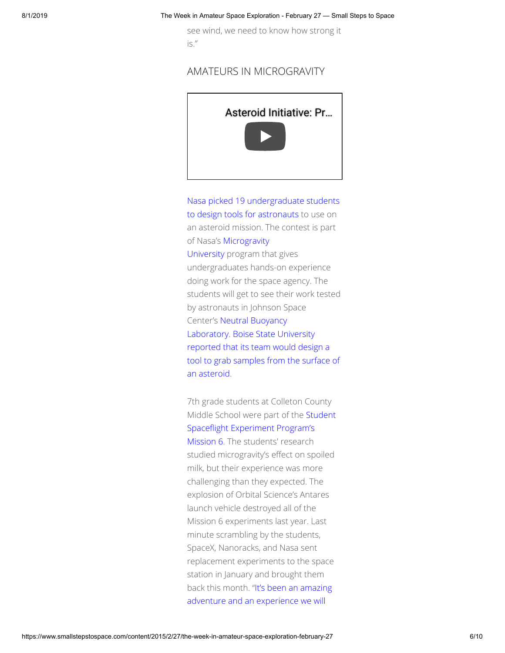see wind, we need to know how strong it is."

## AMATEURS IN MICROGRAVITY



[Nasa picked 19 undergraduate students](http://www.nasa.gov/press/2015/february/nasa-invites-student-teams-to-go-underwater-for-micro-g-next/) to design tools for astronauts to use on an asteroid mission. The contest is part of Nasa's Microgravity [University program th](https://microgravityuniversity.jsc.nasa.gov/index.cfm)at gives

undergraduates hands-on experience doing work for the space agency. The students will get to see their work tested by astronauts in Johnson Space [Center's Neutral Buoyancy](http://dx12.jsc.nasa.gov/site/index.shtml) Laboratory. Boise State University reported that its team would design a [tool to grab samples from the surface of](http://news.boisestate.edu/update/2015/02/25/boise-state-team-selected-nasa-micro-g-program/) an asteroid.

7th grade students at Colleton County [Middle School were part of the Student](http://ssep.ncesse.org/) Spaceflight Experiment Program's Mission 6. The students' research studied microgravity's effect on spoiled milk, but their experience was more challenging than they expected. The explosion of Orbital Science's Antares launch vehicle destroyed all of the Mission 6 experiments last year. Last minute scrambling by the students, SpaceX, Nanoracks, and Nasa sent replacement experiments to the space station in January and brought them [back this month. "It's been an amazing](http://www.colletontoday.com/news/cms-experiment-returns-to-earth-news-the-press-and-standard/article_8cbdf174-b78e-11e4-8aeb-bfee4d44c701.html) adventure and an experience we will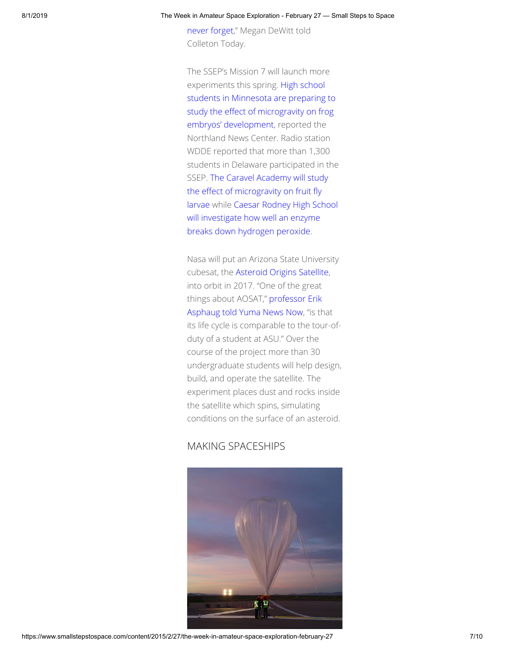[never forget," Megan DeWitt told](http://www.colletontoday.com/news/cms-experiment-returns-to-earth-news-the-press-and-standard/article_8cbdf174-b78e-11e4-8aeb-bfee4d44c701.html) Colleton Today.

The SSEP's Mission 7 will launch more experiments this spring. High school [students in Minnesota are preparing to](http://www.northlandsnewscenter.com/news/local/Marshall-students-to-launch-frog-embryo-experiment-into-space-293938911.html) study the effect of microgravity on frog embryos' development, reported the Northland News Center. Radio station WDDE reported that more than 1,300 students in Delaware participated in the SSEP. The Caravel Academy will study the effect of microgravity on fruit fly [larvae while Caesar Rodney High Sch](http://www.wdde.org/73661-caravel-students-sending-experiment-space)[ool](http://www.wdde.org/73554-caesar-rodney-track-de-high-school-send-experiment-space) will investigate how well an enzyme breaks down hydrogen peroxide.

Nasa will put an Arizona State University cubesat, the [Asteroid Origins Satellite,](https://asunews.asu.edu/20140422-asteroid-origins-satellite) into orbit in 2017. "One of the great [things about AOSAT," professor Erik](http://www.yumanewsnow.com/index.php/news/arizona/9810-asu-students-assist-in-launching-nanosatellite-into-space) Asphaug told Yuma News Now, "is that its life cycle is comparable to the tour-ofduty of a student at ASU." Over the course of the project more than 30 undergraduate students will help design, build, and operate the satellite. The experiment places dust and rocks inside the satellite which spins, simulating conditions on the surface of an asteroid.

### MAKING SPACESHIPS

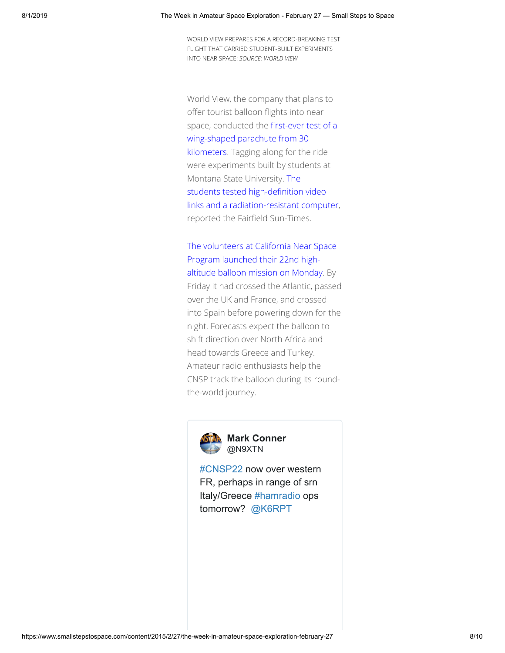WORLD VIEW PREPARES FOR A RECORD-BREAKING TEST FLIGHT THAT CARRIED STUDENT-BUILT EXPERIMENTS INTO NEAR SPACE: *SOURCE: WORLD VIEW*

World View, the company that plans to offer tourist balloon flights into near space, conducted the first-ever test of a wing-shaped parachute from 30 kilometers. Tagging along for the ride were experiments built by students at Montana State University. The students tested high-definition video [links and a radiation-resistant computer](http://www.fairfieldsuntimes.com/news/article_193508a2-bc5f-11e4-96ee-af7cb3a0e533.html), reported the Fairfield Sun-Times.

[The volunteers at California Near Space](http://www.cnsp-inc.com/) Program launched their 22nd highaltitude balloon mission on Monday. By Friday it had crossed the Atlantic, passed over the UK and France, and crossed into Spain before powering down for the night. Forecasts expect the balloon to shift direction over North Africa and head towards Greece and Turkey.

Amateur radio enthusiasts help the CNSP track the balloon during its roundthe-world journey.



[#CNSP22](https://twitter.com/hashtag/CNSP22?src=hash) now over western FR, perhaps in range of srn Italy/Greece [#hamradio](https://twitter.com/hashtag/hamradio?src=hash) ops tomorrow? [@K6RPT](https://twitter.com/K6RPT)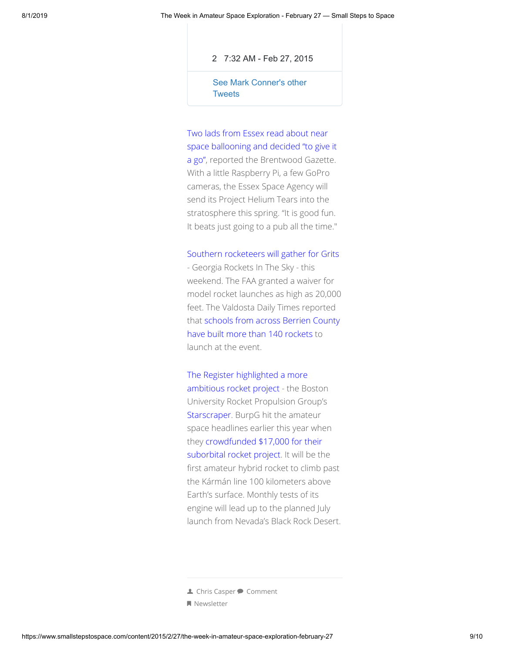[2](https://twitter.com/intent/like?tweet_id=571316996433776640) [7:32 AM - Feb 27, 2015](https://twitter.com/N9XTN/status/571316996433776640)

[See Mark Conner's other](https://twitter.com/N9XTN) **Tweets** 

Two lads from Essex read about near [space ballooning and decided "to give it](http://www.brentwoodgazette.co.uk/Warley-friends-1k-project-propel-helium-rocket/story-26037583-detail/story.html) a go", reported the Brentwood Gazette. With a little Raspberry Pi, a few GoPro cameras, the Essex Space Agency will send its Project Helium Tears into the stratosphere this spring. "It is good fun. It beats just going to a pub all the time."

#### [Southern rocketeers will gather for Grits](http://www.gritslaunch.com/)

- Georgia Rockets In The Sky - this weekend. The FAA granted a waiver for model rocket launches as high as 20,000 feet. The Valdosta Daily Times reported [that schools from across Berrien County](http://www.valdostadailytimes.com/news/local_news/nd-annual-georgia-rockets-in-the-sky-grits-winternationals-returns/article_eb7d3914-bbb6-11e4-848e-772d0c1e2e18.html) have built more than 140 rockets to launch at the event.

The Register highlighted a more [ambitious rocket project - the Bo](http://www.theregister.co.uk/2015/02/26/boston_uni_suborbital_rocket/)ston University Rocket Propulsion Group's [Starscraper](http://www.burocket.org/). BurpG hit the amateur space headlines earlier this year when [they crowdfunded \\$17,000 for their](https://www.kickstarter.com/projects/burpg/starscraper-the-next-generation-of-suborbital-rock) suborbital rocket project. It will be the first amateur hybrid rocket to climb past the Kármán line 100 kilometers above Earth's surface. Monthly tests of its engine will lead up to the planned July launch from Nevada's Black Rock Desert.

**<sup>▲</sup> [Chris Casper](https://www.smallstepstospace.com/content?author=500caca8e4b0e4a25027aa8b) ● [Comment](#page-9-0)** 

[Newsletter](https://www.smallstepstospace.com/content/category/Newsletter)